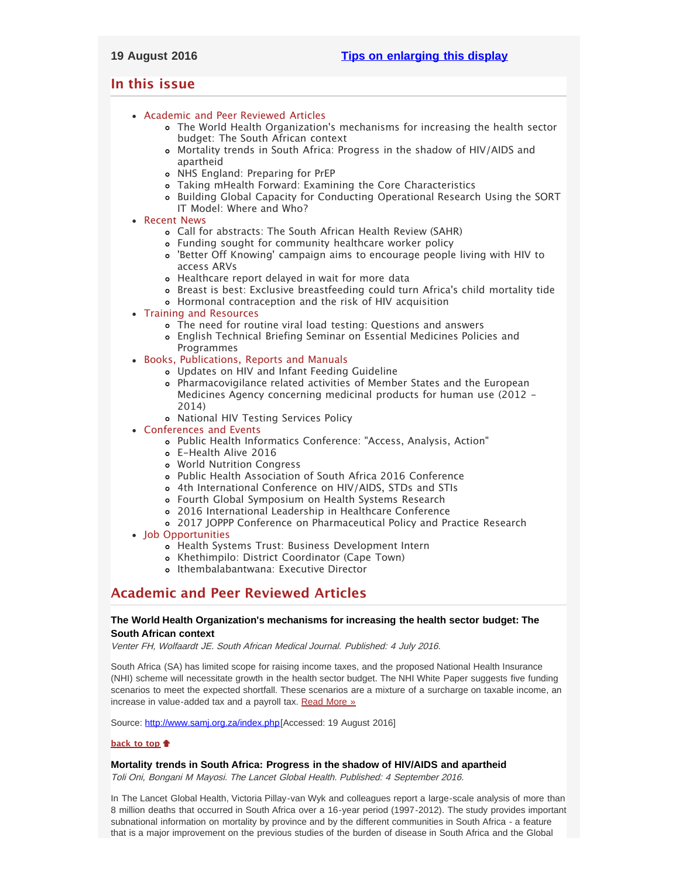# <span id="page-0-4"></span><span id="page-0-3"></span>**In this issue**

- [Academic and Peer Reviewed Articles](#page-0-0)
	- The World Health Organization['s mechanisms for increasing the health sector](#page-0-1) [budget: The South African context](#page-0-1)
	- [Mortality trends in South Africa: Progress in the shadow of HIV/AIDS and](#page-0-2) [apartheid](#page-0-2)
	- [NHS England: Preparing for PrEP](#page-1-0)
	- [Taking mHealth Forward: Examining the Core Characteristics](#page-1-1)
	- [Building Global Capacity for Conducting Operational Research Using the SORT](#page-1-2) [IT Model: Where and Who?](#page-1-2)
- [Recent News](#page-1-3)
	- [Call for abstracts: The South African Health Review \(SAHR\)](#page-1-4)
	- [Funding sought for community healthcare worker policy](#page-1-5)
	- ['Better Off Knowing' campaign aims to encourage people living with HIV to](#page-2-0) [access ARVs](#page-2-0)
	- [Healthcare report delayed in wait for more data](#page-2-1)
	- [Breast is best: Exclusive breastfeeding could turn Africa](#page-2-2)'s child mortality tide
	- [Hormonal contraception and the risk of HIV acquisition](#page-2-3)
- [Training and Resources](#page-4-0)
	- [The need for routine viral load testing: Questions and answers](#page-2-4)
	- [English Technical Briefing Seminar on Essential Medicines Policies and](#page-2-5) [Programmes](#page-2-5)
- [Books, Publications, Reports and Manuals](#page-3-0)
	- [Updates on HIV and Infant Feeding Guideline](#page-3-1)
	- [Pharmacovigilance related activities of Member States and the European](#page-3-2) [Medicines Agency concerning medicinal products for human use \(2012 -](#page-3-2) [2014\)](#page-3-2)
	- [National HIV Testing Services Policy](#page-3-3)
- [Conferences and Events](#page-3-4)
	- [Public Health Informatics Conference: "Access, Analysis, Action"](#page-3-5)
	- [E-Health Alive 2016](#page-3-6)
	- [World Nutrition Congress](#page-3-7)
	- [Public Health Association of South Africa 2016 Conference](#page-3-8)
	- [4th International Conference on HIV/AIDS, STDs and STIs](#page-3-9)
	- [Fourth Global Symposium on Health Systems Research](#page-4-1)
	- [2016 International Leadership in Healthcare Conference](#page-4-2)
	- [2017 JOPPP Conference on Pharmaceutical Policy and Practice Research](#page-4-3)
- [Job Opportunities](#page-0-3)
	- [Health Systems Trust: Business Development Intern](#page-4-4)
	- [Khethimpilo: District Coordinator \(Cape Town\)](#page-4-5)
	- o [Ithembalabantwana: Executive Director](#page-4-6)

# <span id="page-0-0"></span>**Academic and Peer Reviewed Articles**

# <span id="page-0-1"></span>**The World Health Organization's mechanisms for increasing the health sector budget: The South African context**

Venter FH, Wolfaardt JE. South African Medical Journal. Published: 4 July 2016.

South Africa (SA) has limited scope for raising income taxes, and the proposed National Health Insurance (NHI) scheme will necessitate growth in the health sector budget. The NHI White Paper suggests five funding scenarios to meet the expected shortfall. These scenarios are a mixture of a surcharge on taxable income, an increase in value-added tax and a payroll tax. [Read More »](http://www.samj.org.za/index.php/samj/article/view/10654/7530)

Source: [http://www.samj.org.za/index.php](http://www.samj.org.za/index.php/samj/article/view/10654/7530)[Accessed: 19 August 2016]

### **[back to top](#page-0-4)**

### <span id="page-0-2"></span>**Mortality trends in South Africa: Progress in the shadow of HIV/AIDS and apartheid**

Toli Oni, Bongani M Mayosi. The Lancet Global Health. Published: 4 September 2016.

In The Lancet Global Health, Victoria Pillay-van Wyk and colleagues report a large-scale analysis of more than 8 million deaths that occurred in South Africa over a 16-year period (1997-2012). The study provides important subnational information on mortality by province and by the different communities in South Africa - a feature that is a major improvement on the previous studies of the burden of disease in South Africa and the Global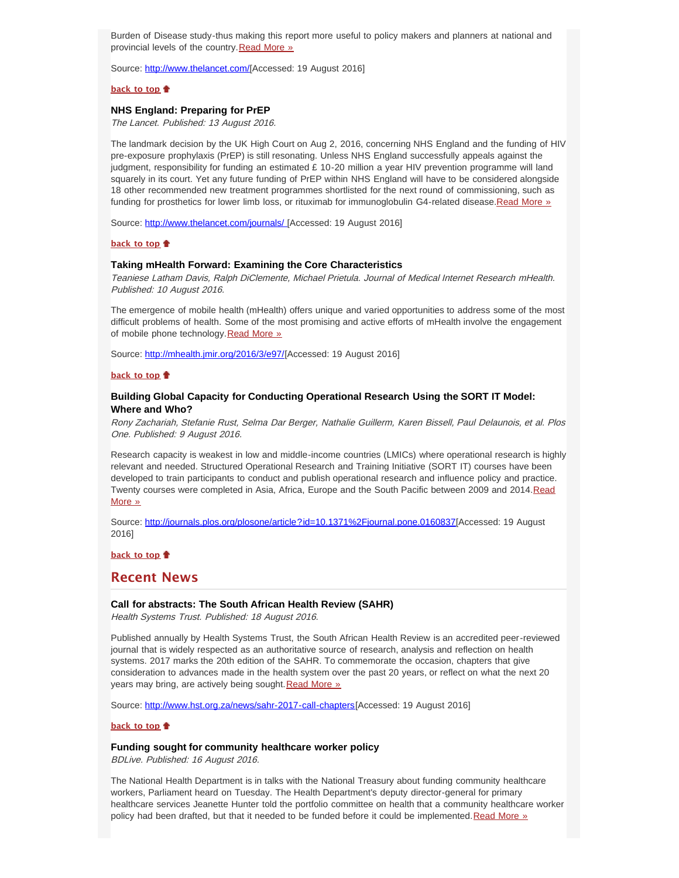Burden of Disease study-thus making this report more useful to policy makers and planners at national and provincial levels of the country. [Read More »](http://www.thelancet.com/journals/langlo/article/PIIS2214-109X(16)30178-4/fulltext)

Source: [http://www.thelancet.com/\[](http://www.thelancet.com/journals/langlo/article/PIIS2214-109X(16)30178-4/fulltext)Accessed: 19 August 2016]

### **[back to top](#page-0-4)**

### <span id="page-1-0"></span>**NHS England: Preparing for PrEP**

The Lancet. Published: 13 August 2016.

The landmark decision by the UK High Court on Aug 2, 2016, concerning NHS England and the funding of HIV pre-exposure prophylaxis (PrEP) is still resonating. Unless NHS England successfully appeals against the judgment, responsibility for funding an estimated  $£ 10-20$  million a year HIV prevention programme will land squarely in its court. Yet any future funding of PrEP within NHS England will have to be considered alongside 18 other recommended new treatment programmes shortlisted for the next round of commissioning, such as funding for prosthetics for lower limb loss, or rituximab for immunoglobulin G4-related disease[.Read More »](http://www.thelancet.com/journals/lancet/article/PIIS0140-6736(16)31343-5/fulltext)

Source: [http://www.thelancet.com/journals/](http://www.thelancet.com/journals/lancet/article/PIIS0140-6736(16)31343-5/fulltext) [Accessed: 19 August 2016]

**[back to top](#page-0-4)**

#### <span id="page-1-1"></span>**Taking mHealth Forward: Examining the Core Characteristics**

Teaniese Latham Davis, Ralph DiClemente, Michael Prietula. Journal of Medical Internet Research mHealth. Published: 10 August 2016.

The emergence of mobile health (mHealth) offers unique and varied opportunities to address some of the most difficult problems of health. Some of the most promising and active efforts of mHealth involve the engagement of mobile phone technology. [Read More »](http://mhealth.jmir.org/2016/3/e97/)

Source: [http://mhealth.jmir.org/2016/3/e97/\[](http://mhealth.jmir.org/2016/3/e97/)Accessed: 19 August 2016]

**[back to top](#page-0-4)**

# <span id="page-1-2"></span>**Building Global Capacity for Conducting Operational Research Using the SORT IT Model: Where and Who?**

Rony Zachariah, Stefanie Rust, Selma Dar Berger, Nathalie Guillerm, Karen Bissell, Paul Delaunois, et al. Plos One. Published: 9 August 2016.

Research capacity is weakest in low and middle-income countries (LMICs) where operational research is highly relevant and needed. Structured Operational Research and Training Initiative (SORT IT) courses have been developed to train participants to conduct and publish operational research and influence policy and practice. Twenty courses were completed in Asia, Africa, Europe and the South Pacific between 2009 and 2014.[Read](http://journals.plos.org/plosone/article?id=10.1371%2Fjournal.pone.0160837) [More »](http://journals.plos.org/plosone/article?id=10.1371%2Fjournal.pone.0160837)

Source: [http://journals.plos.org/plosone/article?id=10.1371%2Fjournal.pone.0160837\[](http://journals.plos.org/plosone/article?id=10.1371%2Fjournal.pone.0160837)Accessed: 19 August 2016]

**[back to top](#page-0-4)**

# <span id="page-1-3"></span>**Recent News**

#### <span id="page-1-4"></span>**Call for abstracts: The South African Health Review (SAHR)**

Health Systems Trust. Published: 18 August 2016.

Published annually by Health Systems Trust, the South African Health Review is an accredited peer-reviewed journal that is widely respected as an authoritative source of research, analysis and reflection on health systems. 2017 marks the 20th edition of the SAHR. To commemorate the occasion, chapters that give consideration to advances made in the health system over the past 20 years, or reflect on what the next 20 years may bring, are actively being sought. [Read More »](http://www.hst.org.za/news/sahr-2017-call-chapters)

Source: [http://www.hst.org.za/news/sahr-2017-call-chapters\[](http://www.hst.org.za/news/sahr-2017-call-chapters)Accessed: 19 August 2016]

### **[back to top](#page-0-4)**

#### <span id="page-1-5"></span>**Funding sought for community healthcare worker policy**

BDLive. Published: 16 August 2016.

The National Health Department is in talks with the National Treasury about funding community healthcare workers, Parliament heard on Tuesday. The Health Department's deputy director-general for primary healthcare services Jeanette Hunter told the portfolio committee on health that a community healthcare worker policy had been drafted, but that it needed to be funded before it could be implemented. [Read More »](http://www.hst.org.za/news/funding-sought-community-healthcare-worker-policy)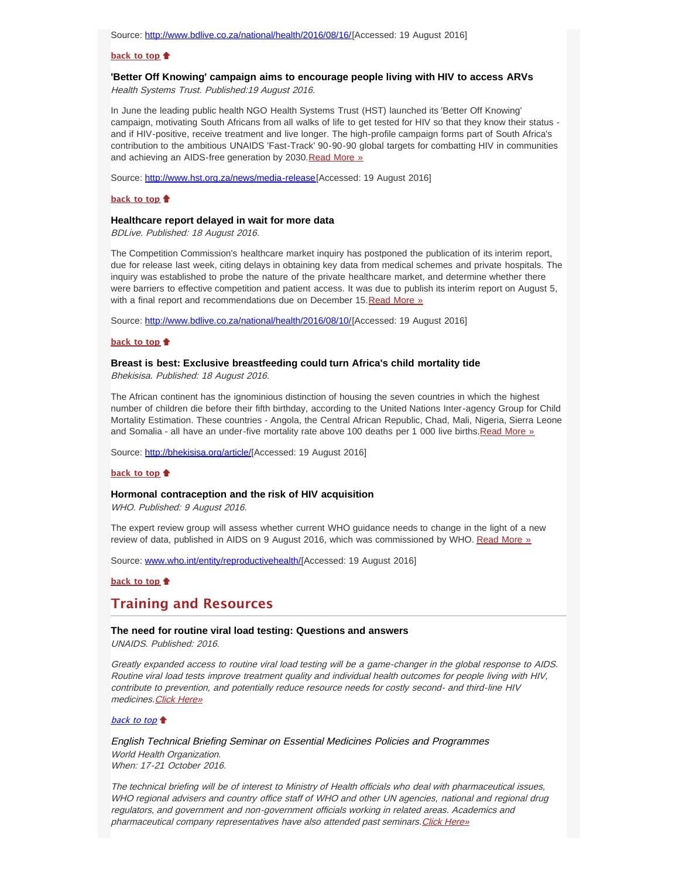#### **[back to top](#page-0-4)**

## <span id="page-2-0"></span>**'Better Off Knowing' campaign aims to encourage people living with HIV to access ARVs**

Health Systems Trust. Published:19 August 2016.

In June the leading public health NGO Health Systems Trust (HST) launched its 'Better Off Knowing' campaign, motivating South Africans from all walks of life to get tested for HIV so that they know their status and if HIV-positive, receive treatment and live longer. The high-profile campaign forms part of South Africa's contribution to the ambitious UNAIDS 'Fast-Track' 90-90-90 global targets for combatting HIV in communities and achieving an AIDS-free generation by 2030. [Read More »](http://www.hst.org.za/news/media-release)

Source: [http://www.hst.org.za/news/media-release\[](http://www.hst.org.za/news/media-release)Accessed: 19 August 2016]

#### **[back to top](#page-0-4)**

## <span id="page-2-1"></span>**Healthcare report delayed in wait for more data**

BDLive. Published: 18 August 2016.

The Competition Commission's healthcare market inquiry has postponed the publication of its interim report, due for release last week, citing delays in obtaining key data from medical schemes and private hospitals. The inquiry was established to probe the nature of the private healthcare market, and determine whether there were barriers to effective competition and patient access. It was due to publish its interim report on August 5, with a final report and recommendations due on December 15. [Read More »](http://www.hst.org.za/news/healthcare-report-delayed-wait-more-data)

Source: [http://www.bdlive.co.za/national/health/2016/08/10/\[](http://www.bdlive.co.za/national/health/2016/08/10/healthcare-report-delayed-in-wait-for-more-data)Accessed: 19 August 2016]

#### **[back to top](#page-0-4)**

#### <span id="page-2-2"></span>**Breast is best: Exclusive breastfeeding could turn Africa's child mortality tide**

Bhekisisa. Published: 18 August 2016.

The African continent has the ignominious distinction of housing the seven countries in which the highest number of children die before their fifth birthday, according to the United Nations Inter-agency Group for Child Mortality Estimation. These countries - Angola, the Central African Republic, Chad, Mali, Nigeria, Sierra Leone and Somalia - all have an under-five mortality rate above 100 deaths per 1 000 live births. [Read More »](http://www.hst.org.za/news/malnutrition-leading-cause-death-under-fives-there-s-simple-and-free-solution-could-save-lives)

Source: [http://bhekisisa.org/article/\[](http://bhekisisa.org/article/2016-08-18-00-breast-is-best-exclusive-breastfeeding-could-turn-africas-child-mortality-tide)Accessed: 19 August 2016]

#### **[back to top](#page-0-4)**

## <span id="page-2-3"></span>**Hormonal contraception and the risk of HIV acquisition**

WHO. Published: 9 August 2016.

The expert review group will assess whether current WHO guidance needs to change in the light of a new review of data, published in AIDS on 9 August 2016, which was commissioned by WHO. [Read More »](http://www.hst.org.za/news/hormonal-contraception-and-risk-hiv-acquisition)

Source: [www.who.int/entity/reproductivehealth/\[](http://who.int/entity/reproductivehealth/topics/family_planning/statement/en)Accessed: 19 August 2016]

#### **[back to top](#page-0-4)**

# **Training and Resources**

#### <span id="page-2-4"></span>**The need for routine viral load testing: Questions and answers**

UNAIDS. Published: 2016.

Greatly expanded access to routine viral load testing will be a game-changer in the global response to AIDS. Routine viral load tests improve treatment quality and individual health outcomes for people living with HIV, contribute to prevention, and potentially reduce resource needs for costly second- and third-line HIV medicines. [Click Here»](http://www.hst.org.za/publications/need-routine-viral-load-testing-questions-and-answers)

#### [back to top](#page-0-4)

<span id="page-2-5"></span>English Technical Briefing Seminar on Essential Medicines Policies and Programmes World Health Organization. When: 17-21 October 2016.

The technical briefing will be of interest to Ministry of Health officials who deal with pharmaceutical issues, WHO regional advisers and country office staff of WHO and other UN agencies, national and regional drug regulators, and government and non-government officials working in related areas. Academics and pharmaceutical company representatives have also attended past seminars. [Click Here»](http://who.int/medicines/technical_briefing/tbs/en/)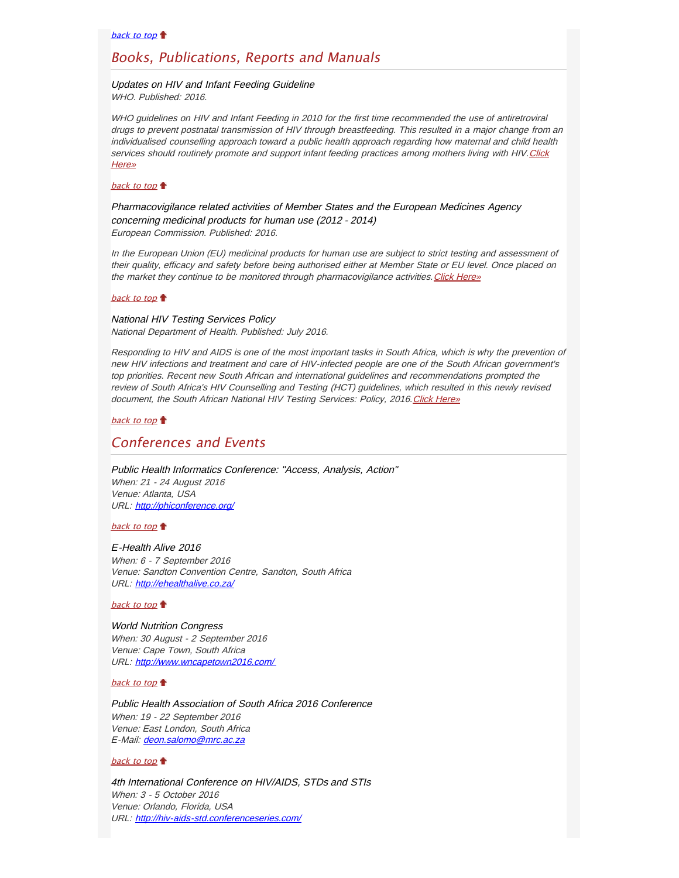# <span id="page-3-0"></span>Books, Publications, Reports and Manuals

## <span id="page-3-1"></span>Updates on HIV and Infant Feeding Guideline WHO. Published: 2016.

WHO guidelines on HIV and Infant Feeding in 2010 for the first time recommended the use of antiretroviral drugs to prevent postnatal transmission of HIV through breastfeeding. This resulted in a major change from an individualised counselling approach toward a public health approach regarding how maternal and child health services should routinely promote and support infant feeding practices among mothers living with HIV. [Click](http://www.hst.org.za/publications/updates-hiv-and-infant-feeding-guideline) [Here»](http://www.hst.org.za/publications/updates-hiv-and-infant-feeding-guideline)

## [back to top](#page-0-4)

<span id="page-3-2"></span>Pharmacovigilance related activities of Member States and the European Medicines Agency concerning medicinal products for human use (2012 - 2014) European Commission. Published: 2016.

In the European Union (EU) medicinal products for human use are subject to strict testing and assessment of their quality, efficacy and safety before being authorised either at Member State or EU level. Once placed on the market they continue to be monitored through pharmacovigilance activities. [Click Here»](http://www.hst.org.za/publications/pharmacovigilance-related-activities-member-states-and-european-medicines-agency-concer)

#### [back to top](#page-0-4)

## <span id="page-3-3"></span>National HIV Testing Services Policy National Department of Health. Published: July 2016.

Responding to HIV and AIDS is one of the most important tasks in South Africa, which is why the prevention of new HIV infections and treatment and care of HIV-infected people are one of the South African government's top priorities. Recent new South African and international guidelines and recommendations prompted the review of South Africa's HIV Counselling and Testing (HCT) guidelines, which resulted in this newly revised document, the South African National HIV Testing Services: Policy, 2016. [Click Here»](http://www.hst.org.za/publications/national-hiv-testing-services-policy)

### [back to top](#page-0-4)

# <span id="page-3-4"></span>Conferences and Events

# <span id="page-3-5"></span>Public Health Informatics Conference: "Access, Analysis, Action" When: 21 - 24 August 2016 Venue: Atlanta, USA URL: <http://phiconference.org/>

#### [back to top](#page-0-4)

# <span id="page-3-6"></span>E-Health Alive 2016 When: 6 - 7 September 2016 Venue: Sandton Convention Centre, Sandton, South Africa URL: <http://ehealthalive.co.za/>

#### [back to top](#page-0-4)

## <span id="page-3-7"></span>World Nutrition Congress When: 30 August - 2 September 2016 Venue: Cape Town, South Africa URL: <http://www.wncapetown2016.com/>

### [back to top](#page-0-4)

<span id="page-3-8"></span>Public Health Association of South Africa 2016 Conference When: 19 - 22 September 2016 Venue: East London, South Africa E-Mail: [deon.salomo@mrc.ac.za](file:///Users/DTP/Desktop/deon.salomo@mrc.ac.za)

#### [back to top](#page-0-4)

<span id="page-3-9"></span>4th International Conference on HIV/AIDS, STDs and STIs When: 3 - 5 October 2016 Venue: Orlando, Florida, USA URL: <http://hiv-aids-std.conferenceseries.com/>